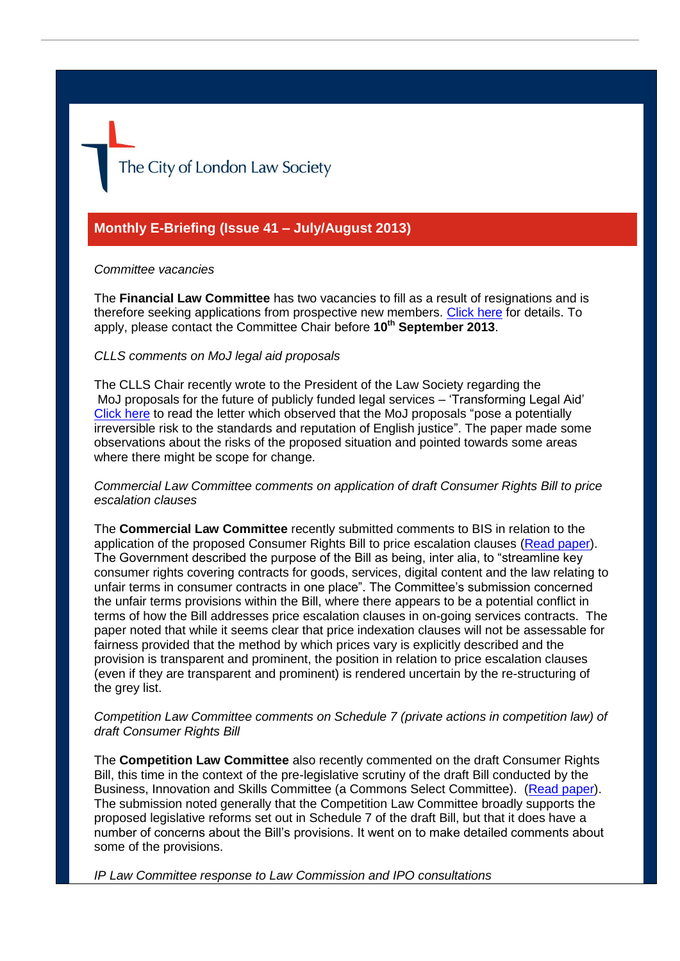The City of London Law Society

# **Monthly E-Briefing (Issue 41 – July/August 2013)**

#### *Committee vacancies*

The **Financial Law Committee** has two vacancies to fill as a result of resignations and is therefore seeking applications from prospective new members. [Click here](http://www.citysolicitors.org.uk/FileServer.aspx?oID=1425&lID=0) for details. To apply, please contact the Committee Chair before **10th September 2013**.

#### *CLLS comments on MoJ legal aid proposals*

The CLLS Chair recently wrote to the President of the Law Society regarding the MoJ proposals for the future of publicly funded legal services – 'Transforming Legal Aid' [Click here](http://www.citysolicitors.org.uk/FileServer.aspx?oID=1397&lID=0) to read the letter which observed that the MoJ proposals "pose a potentially irreversible risk to the standards and reputation of English justice". The paper made some observations about the risks of the proposed situation and pointed towards some areas where there might be scope for change.

*Commercial Law Committee comments on application of draft Consumer Rights Bill to price escalation clauses*

The **Commercial Law Committee** recently submitted comments to BIS in relation to the application of the proposed Consumer Rights Bill to price escalation clauses [\(Read paper\)](http://www.citysolicitors.org.uk/FileServer.aspx?oID=1417&lID=0). The Government described the purpose of the Bill as being, inter alia, to "streamline key consumer rights covering contracts for goods, services, digital content and the law relating to unfair terms in consumer contracts in one place". The Committee's submission concerned the unfair terms provisions within the Bill, where there appears to be a potential conflict in terms of how the Bill addresses price escalation clauses in on-going services contracts. The paper noted that while it seems clear that price indexation clauses will not be assessable for fairness provided that the method by which prices vary is explicitly described and the provision is transparent and prominent, the position in relation to price escalation clauses (even if they are transparent and prominent) is rendered uncertain by the re-structuring of the grey list.

#### *Competition Law Committee comments on Schedule 7 (private actions in competition law) of draft Consumer Rights Bill*

The **Competition Law Committee** also recently commented on the draft Consumer Rights Bill, this time in the context of the pre-legislative scrutiny of the draft Bill conducted by the Business, Innovation and Skills Committee (a Commons Select Committee). [\(Read paper\)](http://www.citysolicitors.org.uk/FileServer.aspx?oID=1427&lID=0). The submission noted generally that the Competition Law Committee broadly supports the proposed legislative reforms set out in Schedule 7 of the draft Bill, but that it does have a number of concerns about the Bill's provisions. It went on to make detailed comments about some of the provisions.

*IP Law Committee response to Law Commission and IPO consultations*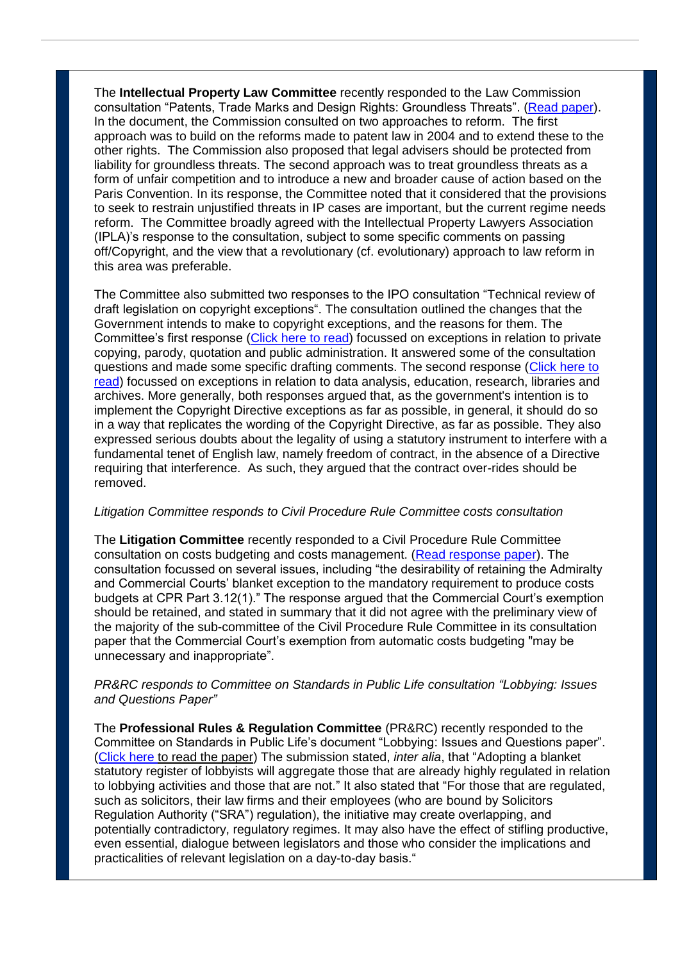The **Intellectual Property Law Committee** recently responded to the Law Commission consultation "Patents, Trade Marks and Design Rights: Groundless Threats". [\(Read paper\)](http://www.citysolicitors.org.uk/FileServer.aspx?oID=1412&lID=0). In the document, the Commission consulted on two approaches to reform. The first approach was to build on the reforms made to patent law in 2004 and to extend these to the other rights. The Commission also proposed that legal advisers should be protected from liability for groundless threats. The second approach was to treat groundless threats as a form of unfair competition and to introduce a new and broader cause of action based on the Paris Convention. In its response, the Committee noted that it considered that the provisions to seek to restrain unjustified threats in IP cases are important, but the current regime needs reform. The Committee broadly agreed with the Intellectual Property Lawyers Association (IPLA)'s response to the consultation, subject to some specific comments on passing off/Copyright, and the view that a revolutionary (cf. evolutionary) approach to law reform in this area was preferable.

The Committee also submitted two responses to the IPO consultation "Technical review of draft legislation on copyright exceptions". The consultation outlined the changes that the Government intends to make to copyright exceptions, and the reasons for them. The Committee's first response [\(Click here to read\)](http://www.citysolicitors.org.uk/FileServer.aspx?oID=1411&lID=0) focussed on exceptions in relation to private copying, parody, quotation and public administration. It answered some of the consultation questions and made some specific drafting comments. The second response (Click here to [read\)](http://www.citysolicitors.org.uk/FileServer.aspx?oID=1420&lID=0) focussed on exceptions in relation to data analysis, education, research, libraries and archives. More generally, both responses argued that, as the government's intention is to implement the Copyright Directive exceptions as far as possible, in general, it should do so in a way that replicates the wording of the Copyright Directive, as far as possible. They also expressed serious doubts about the legality of using a statutory instrument to interfere with a fundamental tenet of English law, namely freedom of contract, in the absence of a Directive requiring that interference. As such, they argued that the contract over-rides should be removed.

### *Litigation Committee responds to Civil Procedure Rule Committee costs consultation*

The **Litigation Committee** recently responded to a Civil Procedure Rule Committee consultation on costs budgeting and costs management. [\(Read response paper\)](http://www.citysolicitors.org.uk/FileServer.aspx?oID=1418&lID=0). The consultation focussed on several issues, including "the desirability of retaining the Admiralty and Commercial Courts' blanket exception to the mandatory requirement to produce costs budgets at CPR Part 3.12(1)." The response argued that the Commercial Court's exemption should be retained, and stated in summary that it did not agree with the preliminary view of the majority of the sub-committee of the Civil Procedure Rule Committee in its consultation paper that the Commercial Court's exemption from automatic costs budgeting "may be unnecessary and inappropriate".

## *PR&RC responds to Committee on Standards in Public Life consultation "Lobbying: Issues and Questions Paper"*

The **Professional Rules & Regulation Committee** (PR&RC) recently responded to the Committee on Standards in Public Life's document "Lobbying: Issues and Questions paper". [\(Click here t](http://www.citysolicitors.org.uk/FileServer.aspx?oID=1421&lID=0)o read the paper) The submission stated, *inter alia*, that "Adopting a blanket statutory register of lobbyists will aggregate those that are already highly regulated in relation to lobbying activities and those that are not." It also stated that "For those that are regulated, such as solicitors, their law firms and their employees (who are bound by Solicitors Regulation Authority ("SRA") regulation), the initiative may create overlapping, and potentially contradictory, regulatory regimes. It may also have the effect of stifling productive, even essential, dialogue between legislators and those who consider the implications and practicalities of relevant legislation on a day-to-day basis."